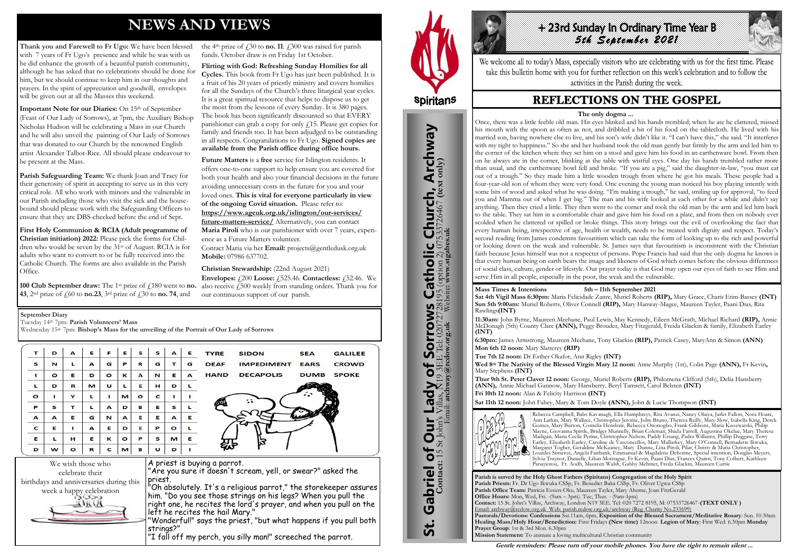# **NEWS AND VIEWS**

**Thank you and Farewell to Fr Ugo:** We have been blessed with 7 years of Fr Ugo's presence and while he was with us he did enhance the growth of a beautiful parish community, although he has asked that no celebrations should be done for him, but we should continue to keep him in our thoughts and prayers. In the spirit of appreciation and goodwill, envelopes will be given out at all the Masses this weekend.

**Important Note for our Diaries:** On 15<sup>th</sup> of September (Feast of Our Lady of Sorrows), at 7pm, the Auxiliary Bishop Nicholas Hudson will be celebrating a Mass in our Church and he will also unveil the painting of Our Lady of Sorrows that was donated to our Church by the renowned English artist Alexander Talbot-Rice. All should please endeavour to be present at the Mass.

**100 Club September draw:** The 1<sup>st</sup> prize of  $\hat{f}$ , 180 went to **no. 43**, 2nd prize of £60 to **no.23**, 3rd prize of £30 to **no. 74**, and

the 4<sup>th</sup> prize of  $\dot{\mu}$  10 to **no. 11**.  $\dot{\mu}$  100 was raised for parish funds. October draw is on Friday 1st October.

**Parish Safeguarding Team:** We thank Joan and Tracy for their generosity of spirit in accepting to serve us in this very critical role. All who work with minors and the vulnerable in our Parish including those who visit the sick and the housebound should please work with the Safeguarding Officers to ensure that they are DBS-checked before the end of Sept.

**First Holy Communion & RCIA (Adult programme of Christian initiation) 2022:** Please pick the forms for Children who would be seven by the 31st of August. RCIA is for adults who want to convert to or be fully received into the Catholic Church. The forms are also available in the Parish Office.

+ 23rd Sunday In Ordinary Time Year B *5th September 2021* 

**Flirting with God: Refreshing Sunday Homilies for all Cycles.** This book from Fr Ugo has just been published. It is a fruit of his 20 years of priestly ministry and covers homilies for all the Sundays of the Church's three liturgical year cycles. It is a great spiritual resource that helps to dispose us to get the most from the lessons of every Sunday. It is 380 pages. The book has been significantly discounted so that EVERY parishioner can grab a copy for only  $f(15)$ . Please get copies for family and friends too. It has been adjudged to be outstanding in all respects. Congratulations to Fr Ugo. **Signed copies are available from the Parish office during office hours.**

**Future Matters** is a **free** service for Islington residents. It offers one-to-one support to help ensure you are covered for both your health and also your financial decisions in the future avoiding unnecessary costs in the future for you and your loved ones. **This is vital for everyone particularly in view of the ongoing Covid situation.** Please refer to: **[https://www.ageuk.org.uk/islington/our-services/](https://www.ageuk.org.uk/islington/our-services/future-matters-service/)**

**[future-matters-service/](https://www.ageuk.org.uk/islington/our-services/future-matters-service/)** Alternatively, you can contact **Maria Piroli** who is our parishioner with over 7 years, experience as a Future Matters volunteer.

Contact Maria via her **Email:** [projects@gentledusk.org.uk](mailto:projects@gentledusk.org.uk)  **Mobile:** 07986 637702.

**Christian Stewardship:** (22nd August 2021)

**Envelopes:** £200 **Loose:** £525.46. **Contactless:** £52.46. We also receive  $f_{15}$  weekly from standing orders. Thank you for our continuous support of our parish.



St. Gabriel of Our Lady of Sorrows Catholic Church, Archway

**Sorrows**<br>E Tel: 020727281

r Lady of Sorrov bf

Our I

Gabriel of Our

**St.** 

**S Catholic Church, Archway**<br>28195 (option 2) 07533726467 (text only)



| т            | D       | A       | Е | F        | Е            | s       | s | A            | Е | <b>TYRE</b> | <b>SIDON</b>      | <b>SEA</b>  | <b>GALILEE</b> |
|--------------|---------|---------|---|----------|--------------|---------|---|--------------|---|-------------|-------------------|-------------|----------------|
| s            | N       | L       | A | G        | P            | R       | G | т            | G | <b>DEAF</b> | <b>IMPEDIMENT</b> | <b>EARS</b> | <b>CROWD</b>   |
| ٠            | $\circ$ | Е       | D | $\circ$  | $\mathbf k$  | A       | N | Е            | A | <b>HAND</b> | <b>DECAPOLIS</b>  | <b>DUMB</b> | <b>SPOKE</b>   |
| L            | D       | R       | M | U        | L            | Е       | н | D            | L |             |                   |             |                |
| $\circ$      |         | Y       | L |          | M            | $\circ$ | c |              |   |             |                   |             |                |
| P            | s       | т       | L | A        | D            | в       | E | $\mathbf{s}$ |   |             |                   |             |                |
| A            | A       | Е       | G | N        | $\mathbf{A}$ | Е       | Е | $\mathbf{A}$ | Е |             |                   |             |                |
| $\mathbf{C}$ | Е       |         | A | Е        | D            | Е       | P | $\circ$      |   |             |                   |             |                |
| E            | L       | н       | Е | $\kappa$ | $\circ$      | P       | s | M            | Е |             |                   |             |                |
| D            | w       | $\circ$ | R | c        | M            | в       | υ | D            |   |             |                   |             |                |

priest.

"Oh absolutely. It's a religious parrot," the storekeeper assures him. "Do you see those strings on his legs? When you pull the right one, he recites the lord's prayer, and when you pull on the

left he recites the hail Mary."

"Wonderful!" says the priest, "but what happens if you pull both

strings?"

"I fall off my perch, you silly man!" screeched the parrot.

**September Diary**

Tuesday 14th 7pm: **Parish Volunteers' Mass**

Wednesday 15<sup>th</sup> 7pm: **Bishop's Mass for the unveiling of the Portrait of Our Lady of Sorrows** 

**Parish is served by the Holy Ghost Fathers (Spiritans) Congregation of the Holy Spirit Parish Priests:** Fr. Dr Ugo Ikwuka CSSp, Fr. Benedict Baka CSSp, Fr. Oliver Ugwu CSSp **Parish Office Team:** Patricia Essien-Oku, Maureen Tayler, Mary Aherne, Joan FitzGerald **Office Hours:** Mon, Wed, Fri. -(9am – 3pm). Tue, Thur. - (9am-1pm) **Contact:** 15 St. John's Villas, Archway, London N19 3EE. Tel: 020 7272 8195, M: 07533726467-**(TEXT ONLY )** Email: archway@rcdow.org.uk Web: parish.rcdow.org.uk/archway (Reg. Charity No.233699) **Pastorals/Devotions: Confessions** Sat.11am, 6pm, **Exposition of the Blessed Sacrament/Meditative Rosary**: Sun. 10.30am **Healing Mass/Holy Hour/Benediction:** First Fridays **(New time)** 12noon **Legion of Mary**: First Wed. 6.30pm **Monday Prayer Group**: 1st & 3rd Mon. 6.30pm **Mission Statement:** To animate a loving multicultural Christian community

**Contact:** 15 St John's Villas, N19 3EE Tel: 02072728195 (option 2) 07533726467 **(text only)** Email: **archway@rcdow.org.uk** Website**: www.stgabes.uk**



We welcome all to today's Mass, especially visitors who are celebrating with us for the first time. Please take this bulletin home with you for further reflection on this week's celebration and to follow the activities in the Parish during the week.

# **REFLECTIONS ON THE GOSPEL**

**Mass Times & Intentions 5th – 11th September 2021**

**Sat 4th Vigil Mass 6:30pm:** Maria Felicidade Zanre, Muriel Roberts **(RIP),** Mary Grace, Charis Etim-Bassey **(INT) Sun 5th 9:00am:** Muriel Roberts, Oliver Connell **(RIP),** Mary Hanway-Magee, Maureen Tayler, Paani Dias, Rita Rawlings**(INT)**

**11:30am:** John Byrne, Maureen Meehane, Paul Lewis, May Kennedy, Eileen McGrath, Michael Richard **(RIP),** Annie McDonagh (5th) County Clare **(ANN),** Peggy Brouder, Mary Fitzgerald, Freida Glackin & family, Elizabeth Earley **(INT)**

**6:30pm:** James Armstrong, Maureen Meehane, Tony Glackin **(RIP),** Patrick Casey, MaryAnn & Simon **(ANN) Mon 6th 12 noon:** Mary Slatterey **(RIP)**

**Tue 7th 12 noon:** Dr Esther Okafor, Ann Rigley **(INT) Wed 8th The Nativity of the Blessed Virgin Mary 12 noon:** Anne Murphy (1st), Colin Page **(ANN),** Fr Kevin**,**  Mary Stephens **(INT)** 

**Thur 9th St. Peter Claver 12 noon:** George, Muriel Roberts **(RIP),** Philomena Clifford (5th), Delia Hansberry **(ANN),** Annie Michael Gannow, Mary Hansberry, Beryl Tamsett, Carol Belsten **(INT) Fri 10th 12 noon:** Alan & Felicity Harrison **(INT) Sat 11th 12 noon:** John Fahey, Mary & Tom Doyle **(ANN),** John & Lucie Thompson **(INT)**



Rebecca Campbell, Babs Kavanagh, Ella Humphreys, Rita Avanzi, Nancy Olaiya, Jarlet Fallon, Nora Hoare, Ann Larkin, Mary Wallace, Christopher Jerome, John Bruno, Theresa Reilly, Mary Slow, Isabella King, Derek Gomes, Mary Burton, Cornelia Henshaw, Rebecca Ononogbo, Frank Gibbons, Maria Kuozwatski, Philip Mayne, Giovanna Spittle, Bridget Munnelly, Brian Coleman, Shiela Farrell, Augustina Okelue, Mary Theresa Madigan, Maria Cecile Perine, Christopher Nelson, Paddy Essang, Padra Williams, Phillip Duggase, Terry Earley, Elizabeth Earley, Caroline de Vasconcellos, Mary Mullarkey, Mary O'Connell, Bernadette Ikwuka, Margaret Togher, Geraldine McKeaney, Mary Dunne, Lina Piroli, Pilar, Christy & Maria Christopher, Lourdes Sisneros, Angela Fairbank, Emmanuel & Magdalene Debonne, Special intention, Douglas Meyers, Sylvia Traynor, Danielle, Lilian Montague, Fr Kevin, Paani Dias, Frances Quinn, Tony Colbert, Kathleen Panayiotou, Fr. Aodh, Maureen Walsh, Gabby Mehmet, Freda Glackin, Maureen Currie

**Gentle reminders: Please turn off your mobile phones. You have the right to remain silent ...** 

#### **The only dogma ...**

Once, there was a little feeble old man. His eyes blinked and his hands trembled; when he ate he clattered, missed his mouth with the spoon as often as not, and dribbled a bit of his food on the tablecloth. He lived with his married son, having nowhere else to live, and his son's wife didn't like it. "I can't have this," she said. "It interferes with my right to happiness." So she and her husband took the old man gently but firmly by the arm and led him to the corner of the kitchen where they set him on a stool and gave him his food in an earthenware bowl. From then on he always ate in the corner, blinking at the table with wistful eyes. One day his hands trembled rather more than usual, and the earthenware bowl fell and broke. "If you are a pig," said the daughter-in-law, "you must eat out of a trough." So they made him a little wooden trough from where he got his meals. These people had a four-year-old son of whom they were very fond. One evening the young man noticed his boy playing intently with some bits of wood and asked what he was doing. "I'm making a trough," he said, smiling up for approval, "to feed you and Mamma out of when I get big." The man and his wife looked at each other for a while and didn't say anything. Then they cried a little. They then went to the corner and took the old man by the arm and led him back to the table. They sat him in a comfortable chair and gave him his food on a plate, and from then on nobody ever scolded when he clattered or spilled or broke things. This story brings out the evil of overlooking the fact that every human being, irrespective of age, health or wealth, needs to be treated with dignity and respect. Today's second reading from James condemns favouritism which can take the form of looking up to the rich and powerful or looking down on the weak and vulnerable. St. James says that favouritism is inconsistent with the Christian faith because Jesus himself was not a respecter of persons. Pope Francis had said that the only dogma he knows is that every human being on earth bears the image and likeness of God which comes before the obvious differences of social class, culture, gender or lifestyle. Our prayer today is that God may open our eyes of faith to see Him and serve Him in all people, especially in the poor, the weak and the vulnerable.